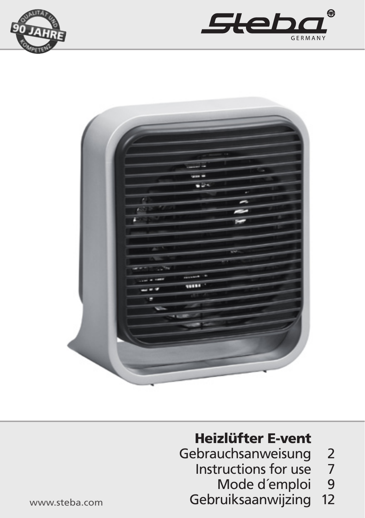





#### Heizlüfter E-vent

- Gebrauchsanweisung 2 Instructions for use
	- 7 Mode d´emploi  $\frac{9}{12}$
	-
	- Gebruiksaanwijzing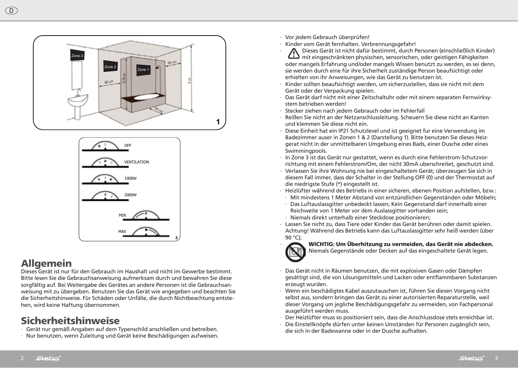



### **Allgemein**

sorgfältig auf. Bei Weitergabe des Gerätes an andere Personen ist die Gebrauchsan-Dieses Gerät ist nur für den Gebrauch im Haushalt und nicht im Gewerbe bestimmt. Bitte lesen Sie die Gebrauchsanweisung aufmerksam durch und bewahren Sie diese weisung mit zu übergeben. Benutzen Sie das Gerät wie angegeben und beachten Sie die Sicherheitshinweise. Für Schäden oder Unfälle, die durch Nichtbeachtung entstehen, wird keine Haftung übernommen.

# **Sicherheitshinweise**

- **2** ∙ Gerät nur gemäß Angaben auf dem Typenschild anschließen und betreiben.
- ∙ Nur benutzen, wenn Zuleitung und Gerät keine Beschädigungen aufweisen.
- ∙ Vor jedem Gebrauch überprüfen!
- **INSTALLATION GEREE FRIMALE IN DER FRIMALE IN GERATION GERATION GERATION GERATION GERATION GERATION GERATION GER**
- ∙ Dieses Gerät ist nicht dafür bestimmt, durch Personen (einschließlich Kinder) **>** mit eingeschränkten physischen, sensorischen, oder geistigen Fähigkeiten oder mangels Erfahrung und/oder mangels Wissen benutzt zu werden, es sei denn, sie werden durch eine für ihre Sicherheit zuständige Person beaufsichtigt oder **may cause fire, electric shock or injury, and voids all warranties.**  erhielten von ihr Anweisungen, wie das Gerät zu benutzen ist.
- ∙ Kinder sollten beaufsichtigt werden, um sicherzustellen, dass sie nicht mit dem terms of the transfer warranty are to be the taken as excluding any conditions of the taken as excluding any c<br>Gerät oder der Verpackung spielen. Gerät oder der Verpackung spielen
- bas Gerät darf nicht mit einer Zeitschaltuhr oder mit einem separaten Fernwirksystem betrieben werden! The contract of the state of the state of the state of the state of the state of the state of the state of the state of the state of the state of the state of the state of the state of the state of t
- Stecker ziehen nach jedem Gebrauch oder im Fehlerfall
- ∙ Beeker ziehen nach jedem debraden oder im Ferlien all<br>· Reißen Sie nicht an der Netzanschlussleitung. Scheuern Sie diese nicht an Kanten  $\blacksquare$  /  $\blacksquare$  and klemmen Sie diese nicht ein.  $\blacksquare$  in accordance with the packaging  $\blacksquare$  . Integrity relation remove the packaging of defects or damages or damages or damages or damages or damages or damages or damages or damages or damages or damages or damages
- Diese Einheit hat ein IP21 Schutzlevel und ist geeignet fur eine Verwendung im Badezimmer auser in Zonen 1 & 2 (Darstellung 1). Bitte benutzen Sie dieses Heizgerat nicht in der unmittelbaren Umgebung eines Bads, einer Dusche oder eines s applicities in the summing pools.  $T$ mingpools. Intended for normal household use and not for use  $T$
- ∙ In Zone 3 ist das Gerät nur gestattet, wenn es durch eine Fehlerstrom-Schutzvorrichtung mit einem Fehlerstrom/Om, der nicht 30mA uberschreitet, geschutzt sind.  $\cdot$  In Zone 3 ist das Gerät nur gestattet, wenn es durc
- · Verlassen Sie ihre Wohnung nie bei eingeschaltetem Gerät; überzeugen Sie sich in diesem Fall immer, dass der Schalter in der Stellung OFF (0) und der Thermostat auf die niedrigste Stufe (\*) eingestellt ist. Verlassen Sie ihre Wohnung nie bei eingeschaltetem Gerät; überzeugen Sie sich in
- Heizlüfter während des Betriebs in einer sicheren, ebenen Position aufstellen, bzw.:
- ⊤ieiziditer wannend des Betriebs in einer sicheren, ebenen Fosition aurstellen, bzw.:<br>· Mit mindestens 1 Meter Abstand von entzündlichen Gegenständen oder Möbeln; Intended or intendes in intended van die intendenden Gegenständen oder Möbeln;  $I = \{V \in \mathcal{S}\}$  if the permitted only if they are protected by a residual current protective protective protective protective protective protective protective protective protective protective protective protective protec
- · Das Luftauslassgitter unbedeckt lassen; Kein Gegenstand darf innerhalb einer Reichweite von 1 Meter vor dem Auslassgitter vorhanden sein;
	- → Niemals direkt unterhalb einer Steckdose positionieren;<br>→ Niemals direkt unterhalb einer Steckdose positionieren;
- · Lassen Sie nicht zu, dass Tiere oder Kinder das Gerät berühren oder damit spielen. Lassen sie mehr Ely dass here oder finder das Gerdt befahren oder dannt spielen.<br>Achtung! Während des Betriebs kann das Luftauslassgitter sehr heiß werden (über 90 °C);



· Vichtlig: Um Überhitzung zu vermeiden, das Gerät nie abdecken. wich itd: om obernitzung zu vermeiden, das derat nie abdecken.

Niemals Gegenstände oder Decken auf das eingeschaltete Gerät legen. In are permitted only if they are permitted only if they are protected by a residual current protective protect

- ∙ Das Gerät nicht in Räumen benutzen, die mit explosiven Gasen oder Dämpfen Don't leave your home while the appliance is in function: ensure in this case that the switch is in gesättigt sind, die von Lösungsmitteln und Lacken oder entflammbaren Substanzen erzeugt wurden. t hicht in Raumen benutzen, die mit explosiven G
- siessigt manden.<br>• Wenn ein beschädigtes Kabel auszutauschen ist, führen Sie diesen Vorgang nicht selbst aus, sondern bringen das Gerät zu einer autorisierten Reparaturstelle, weil dieser Vorgang um jegliche Beschädigungsgefahr zu vermeiden, von Fachpersonal ausgeführt werden muss. bescriatiges Kabel auszutauschen ist,
- ausgerum e werden mass.<br>• Der Heizlüfter muss so positioniert sein, dass die Anschlussdose stets erreichbar ist. urter muss so posit
- ∙ Die Einstellknöpfe dürfen unter keinen Umständen für Personen zugänglich sein, die sich in der Badewanne oder in der Dusche aufhalten.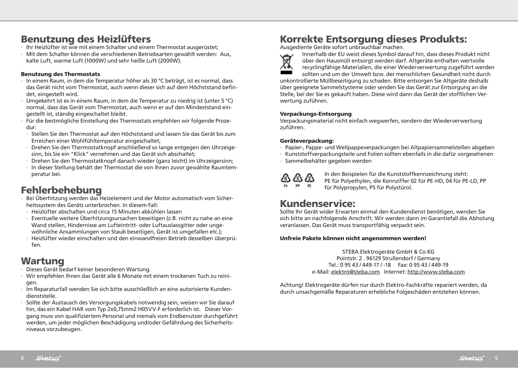## Benutzung des Heizlüfters

- ∙ Ihr Heizlüfter ist wie mit einem Schalter und einem Thermostat ausgerüstet;
- ∙ Mit dem Schalter können die verschiedenen Betriebsarten gewählt werden: Aus, kalte Luft, warme Luft (1000W) und sehr heiße Luft (2000W).

#### Benutzung des Thermostats

- ∙ In einem Raum, in dem die Temperatur höher als 30 °C beträgt, ist es normal, dass das Gerät nicht vom Thermostat, auch wenn dieser sich auf dem Höchststand befindet, eingestellt wird.
- ∙ Umgekehrt ist es in einem Raum, in dem die Temperatur zu niedrig ist (unter 5 °C) normal, dass das Gerät vom Thermostat, auch wenn er auf den Mindeststand eingestellt ist, ständig eingeschaltet bleibt.
- ∙ Für die bestmögliche Einstellung des Thermostats empfehlen wir folgende Prozedur:
- ∙ Stellen Sie den Thermostat auf den Höchststand und lassen Sie das Gerät bis zum Erreichen einer Wohlfühltemperatur eingeschaltet;
- ∙ Drehen Sie den Thermostatknopf anschließend so lange entgegen den Uhrzeigesinn, bis Sie ein "Klick" vernehmen und das Gerät sich abschaltet;
- ∙ Drehen Sie den Thermostatknopf danach wieder (ganz leicht) im Uhrzeigersinn;
- ∙ In dieser Stellung behält der Thermostat die von Ihnen zuvor gewählte Raumtemperatur bei.

# Fehlerbehebung

- ∙ Bei Überhitzung werden das Heizelement und der Motor automatisch vom Sicherheitssystem des Geräts unterbrochen. In diesem Fall:
- ∙ Heizlüfter abschalten und circa 15 Minuten abkühlen lassen
- ∙ Eventuelle weitere Überhitzungsursachen beseitigen (z.B. nicht zu nahe an eine Wand stellen, Hindernisse am Lufteintritt- oder Luftauslassgitter oder ungewöhnliche Ansammlungen von Staub beseitigen, Gerät ist umgefallen etc.);
- ∙ Heizlüfter wieder einschalten und den einwandfreien Betrieb desselben überprüfen.

# **Wartung**

- ∙ Dieses Gerät bedarf keiner besonderen Wartung.
- ∙ Wir empfehlen Ihnen das Gerät alle 6 Monate mit einem trockenen Tuch zu reinigen.
- ∙ Im Reparaturfall wenden Sie sich bitte ausschließlich an eine autorisierte Kundendienststelle.
- ∙ Sollte der Austausch des Versorgungskabels notwendig sein, weisen wir Sie darauf hin, das ein Kabel HAR vom Typ 2x0,75mm2 H05VV-F erforderlich ist. Dieser Vorgang muss von qualifiziertem Personal und niemals vom Endbenutzer durchgeführt werden, um jeder möglichen Beschädigung und/oder Gefährdung des Sicherheitsniveaus vorzubeugen.

# Korrekte Entsorgung dieses Produkts:

Ausgediente Geräte sofort unbrauchbar machen.



Innerhalb der EU weist dieses Symbol darauf hin, dass dieses Produkt nicht Innerhalb der EU weist dieses Symbol darauf hin, dass dieses Produkt nichten über den Hausmüll entsorgt werden darf. Altgeräte enthalten wertvolle<br>recyclingfähige Materialien, die einer Wiederverwertung zugeführt were recyclingfähige Materialien, die einer Wiederverwertung zugeführt werden sollten und um der Umwelt bzw. der menschlichen Gesundheit nicht durch

unkontrollierte Müllbeseitigung zu schaden. Bitte entsorgen Sie Altgeräte deshalb über geeignete Sammelstysteme oder senden Sie das Gerät zur Entsorgung an die Stelle, bei der Sie es gekauft haben. Diese wird dann das Gerät der stofflichen Verwertung zuführen.

#### Verpackungs-Entsorgung

Verpackungsmaterial nicht einfach wegwerfen, sondern der Wiederverwertung zuführen.

#### Geräteverpackung:

- ∙ Papier-, Pappe- und Wellpappeverpackungen bei Altpapiersammelstellen abgeben
- ∙ ·Kunststoffverpackungsteile und Folien sollten ebenfalls in die dafür vorgesehenen
- ∙ Sammelbehälter gegeben werden



In den Beispielen für die Kunststoffkennzeichnung steht: PE für Polyethylen, die Kennziffer 02 für PE-HD, 04 für PE-LD, PP für Polypropylen, PS für Polystürol.

### Kundenservice:

Sollte Ihr Gerät wider Erwarten einmal den Kundendienst benötigen, wenden Sie sich bitte an nachfolgende Anschrift. Wir werden dann im Garantiefall die Abholung veranlassen. Das Gerät muss transportfähig verpackt sein.

#### Unfreie Pakete können nicht angenommen werden!

STEBA Elektrogeräte GmbH & Co KG Pointstr. 2 . 96129 Strullendorf / Germany Tel.: 0 95 43 / 449-17 / -18 Fax: 0 95 43 / 449-19 e-Mail: elektro@steba.com Internet: http://www.steba.com

Achtung! Elektrogeräte dürfen nur durch Elektro-Fachkräfte repariert werden, da durch unsachgemäße Reparaturen erhebliche Folgeschäden entstehen können.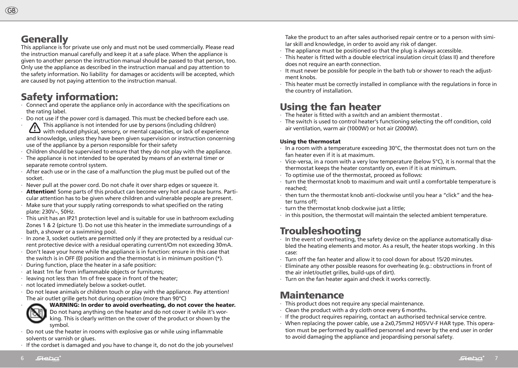#### **Generally**

 $GB$ 

This appliance is for private use only and must not be used commercially. Please read the instruction manual carefully and keep it at a safe place. When the appliance is given to another person the instruction manual should be passed to that person, too. Only use the appliance as described in the instruction manual and pay attention to the safety information. No liability for damages or accidents will be accepted, which are caused by not paying attention to the instruction manual.

## Safety information:

- ∙ Connect and operate the appliance only in accordance with the specifications on the rating label.
- ∙ Do not use if the power cord is damaged. This must be checked before each use.
- ∙ This appliance is not intended for use by persons (including children) with reduced physical, sensory, or mental capacities, or lack of experience and knowledge, unless they have been given supervision or instruction concerning use of the appliance by a person responsible for their safety
- ∙ Children should be supervised to ensure that they do not play with the appliance.
- ∙ The appliance is not intended to be operated by means of an external timer or separate remote control system.
- ∙ After each use or in the case of a malfunction the plug must be pulled out of the socket.
- ∙ Never pull at the power cord. Do not chafe it over sharp edges or squeeze it.
- ∙ Attention! Some parts of this product can become very hot and cause burns. Particular attention has to be given where children and vulnerable people are present.
- ∙ Make sure that your supply rating corresponds to what specified on the rating plate: 230V~, 50Hz.
- ∙ This unit has an IP21 protection level and is suitable for use in bathroom excluding Zones 1 & 2 (picture 1). Do not use this heater in the immediate surroundings of a bath, a shower or a swimming pool.
- ∙ In zone 3, socket outlets are permitted only if they are protected by a residual current protective device with a residual operating current/Om not exceeding 30mA.
- ∙ Don't leave your home while the appliance is in function: ensure in this case that the switch is in OFF (0) position and the thermostat is in minimum position (\*).
- ∙ During function, place the heater in a safe position:
- ∙ at least 1m far from inflammable objects or furnitures;
- ∙ leaving not less than 1m of free space in front of the heater;
- ∙ not located immediately below a socket-outlet.
- ∙ Do not leave animals or children touch or play with the appliance. Pay attention! The air outlet grille gets hot during operation (more than 90°C)



#### ∙ WARNING: In order to avoid overheating, do not cover the heater.

Do not hang anything on the heater and do not cover it while it's working. This is clearly written on the cover of the product or shown by the symbol.

- ∙ Do not use the heater in rooms with explosive gas or while using inflammable solvents or varnish or glues.
- ∙ If the cordset is damaged and you have to change it, do not do the job yourselves!

Take the product to an after sales authorised repair centre or to a person with similar skill and knowledge, in order to avoid any risk of danger.

- ∙ The appliance must be positioned so that the plug is always accessible.
- ∙ This heater is fitted with a double electrical insulation circuit (class II) and therefore does not require an earth connection.
- ∙ It must never be possible for people in the bath tub or shower to reach the adjustment knobs.
- ∙ This heater must be correctly installed in compliance with the regulations in force in the country of installation.

### Using the fan heater

- ∙ The heater is fitted with a switch and an ambient thermostat .
- ∙ The switch is used to control heater's functioning selecting the off condition, cold air ventilation, warm air (1000W) or hot air (2000W).

#### Using the thermostat

- ∙ In a room with a temperature exceeding 30°C, the thermostat does not turn on the fan heater even if it is at maximum.
- ∙ Vice-versa, in a room with a very low temperature (below 5°C), it is normal that the thermostat keeps the heater constantly on, even if it is at minimum.
- ∙ To optimise use of the thermostat, proceed as follows:
- ∙ turn the thermostat knob to maximum and wait until a comfortable temperature is reached;
- ∙ then turn the thermostat knob anti-clockwise until you hear a "click" and the heater turns off;
- ∙ turn the thermostat knob clockwise just a little;
- ∙ in this position, the thermostat will maintain the selected ambient temperature.

## Troubleshooting

- ∙ In the event of overheating, the safety device on the appliance automatically disabled the heating elements and motor. As a result, the heater stops working . In this case:
- ∙ Turn off the fan heater and allow it to cool down for about 15/20 minutes.
- ∙ Eliminate any other possible reasons for overheating (e.g.: obstructions in front of the air inlet/outlet grilles, build-ups of dirt).
- ∙ Turn on the fan heater again and check it works correctly.

#### Maintenance

- ∙ This product does not require any special maintenance.
- ∙ Clean the product with a dry cloth once every 6 months.
- ∙ If the product requires repairing, contact an authorised technical service centre.
- ∙ When replacing the power cable, use a 2x0,75mm2 H05VV-F HAR type. This operation must be performed by qualified personnel and never by the end user in order to avoid damaging the appliance and jeopardising personal safety.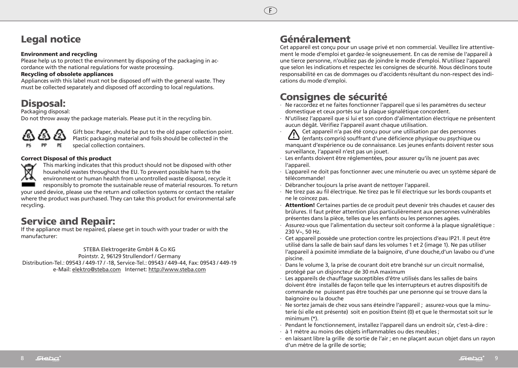# Legal notice

#### Environment and recycling

Please help us to protect the environment by disposing of the packaging in accordance with the national regulations for waste processing.

#### Recycling of obsolete appliances

Appliances with this label must not be disposed off with the general waste. They must be collected separately and disposed off according to local regulations.

## Disposal:

Packaging disposal:

Do not throw away the package materials. Please put it in the recycling bin.



Gift box: Paper, should be put to the old paper collection point. Plastic packaging material and foils should be collected in the special collection containers.

#### Correct Disposal of this product



This marking indicates that this product should not be disposed with other household wastes throughout the EU. To prevent possible harm to the environment or human health from uncontrolled waste disposal, recycle it responsibly to promote the sustainable reuse of material resources. To return your used device, please use the return and collection systems or contact the retailer

where the product was purchased. They can take this product for environmental safe recycling.

### Service and Repair:

If the appliance must be repaired, plaese get in touch with your trader or with the manufacturer:

STEBA Elektrogeräte GmbH & Co KG Pointstr. 2, 96129 Strullendorf / Germany Distribution-Tel.: 09543 / 449-17 / -18, Service-Tel.: 09543 / 449-44, Fax: 09543 / 449-19 e-Mail: elektro@steba.com Internet: http://www.steba.com

## Généralement

Cet appareil est conçu pour un usage privé et non commercial. Veuillez lire attentivement le mode d'emploi et gardez-le soigneusement. En cas de remise de l'appareil à une tierce personne, n'oubliez pas de joindre le mode d'emploi. N'utilisez l'appareil que selon les indications et respectez les consignes de sécurité. Nous déclinons toute responsabilité en cas de dommages ou d'accidents résultant du non-respect des indications du mode d'emploi.

## Consignes de sécurité

- ∙ Ne raccordez et ne faites fonctionner l'appareil que si les paramètres du secteur domestique et ceux portés sur la plaque signalétique concordent.
- ∙ N'utilisez l'appareil que si lui et son cordon d'alimentation électrique ne présentent aucun dégât. Vérifiez l'appareil avant chaque utilisation.
- ← ∧ Cet appareil n'a pas été conçu pour une utilisation par des personnes (enfants compris) souffrant d'une déficience physique ou psychique ou manquant d'expérience ou de connaissance. Les jeunes enfants doivent rester sous surveillance, l'appareil n'est pas un jouet.
- ∙ Les enfants doivent être réglementées, pour assurer qu'ils ne jouent pas avec l'appareil.
- ∙ L´appareil ne doit pas fonctionner avec une minuterie ou avec un système séparé de télécommande!
- ∙ Débrancher toujours la prise avant de nettoyer l'appareil.
- ∙ Ne tirez pas au fil électrique. Ne tirez pas le fil électrique sur les bords coupants et ne le coincez pas.
- ∙ Attention! Certaines parties de ce produit peut devenir très chaudes et causer des brûlures. Il faut prêter attention plus particulièrement aux personnes vulnérables présentes dans la pièce, telles que les enfants ou les personnes agées.
- ∙ Assurez-vous que l'alimentation du secteur soit conforme à la plaque signalétique : 230 V~, 50 Hz.
- ∙ Cet appareil possède une protection contre les projections d'eau IP21. Il peut être utilisé dans la salle de bain sauf dans les volumes 1 et 2 (image 1). Ne pas utiliser l'appareil à poximité immdiate de la baignoire, d'une douche,d'un lavabo ou d'une piscine.
- ∙ Dans le volume 3, la prise de courant doit etre branché sur un circuit normalisé, protégé par un disjoncteur de 30 mA maximum
- ∙ Les appareils de chauffage susceptibles d'être utilisés dans les salles de bains doivent être installés de façon telle que les interrupteurs et autres dispositifs de commande ne puissent pas être touchés par une personne qui se trouve dans la baignoire ou la douche
- ∙ Ne sortez jamais de chez vous sans éteindre l'appareil ; assurez-vous que la minuterie (si elle est présente) soit en position Eteint (0) et que le thermostat soit sur le minimum (\*).
- ∙ Pendant le fonctionnement, installez l'appareil dans un endroit sûr, c'est-à-dire :
- ∙ à 1 mètre au moins des objets inflammables ou des meubles ;
- ∙ en laissant libre la grille de sortie de l'air ; en ne plaçant aucun objet dans un rayon d'un mètre de la grille de sortie;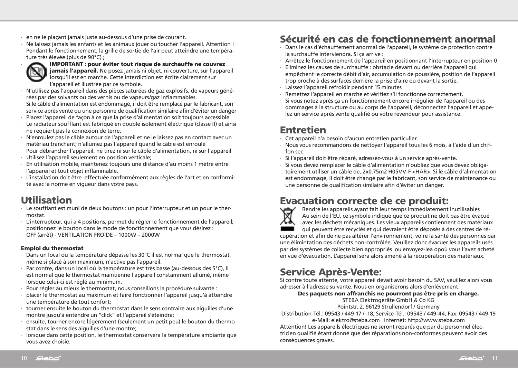- ∙ en ne le plaçant jamais juste au-dessous d'une prise de courant.
- ∙ Ne laissez jamais les enfants et les animaux jouer ou toucher l'appareil. Attention ! Pendant le fonctionnement, la grille de sortie de l'air peut atteindre une température très élevée (plus de 90°C) ;



∙ IMPORTANT : pour éviter tout risque de surchauffe ne couvrez

jamais l'appareil. Ne posez jamais ni objet, ni couverture, sur l'appareil lorsqu'il est en marche. Cette interdiction est écrite clairement sur l'appareil et illustrée par ce symbole.

- ∙ N'utilisez pas l'appareil dans des pièces saturées de gaz explosifs, de vapeurs générées par des solvants ou des vernis ou de vapeurs/gaz inflammables.
- ∙ Si le câble d'alimentation est endommagé, il doit être remplacé par le fabricant, son service après vente ou une personne de qualification similaire afin d'éviter un danger
- ∙ Placez l'appareil de façon à ce que la prise d'alimentation soit toujours accessible.
- ∙ Le radiateur soufflant est fabriqué en double isolement électrique (classe II) et ainsi ne requiert pas la connexion de terre.
- ∙ N'enroulez pas le câble autour de l'appareil et ne le laissez pas en contact avec un matériau tranchant; n'allumez pas l'appareil quand le câble est enroulé
- ∙ Pour débrancher l'appareil, ne tirez ni sur le câble d'alimentation, ni sur l'appareil
- ∙ Utilisez l'appareil seulement en position verticale;
- ∙ En utilisation mobile, maintenez toujours une distance d'au moins 1 mètre entre l'appareil et tout objet inflammable.
- ∙ L'installation doit être effectuée conformément aux règles de l'art et en conformité avec la norme en vigueur dans votre pays.

#### Utilisation

- ∙ Le soufflant est muni de deux boutons : un pour l'interrupteur et un pour le thermostat.
- ∙ L'interrupteur, qui a 4 positions, permet de régler le fonctionnement de l'appareil; positionnez le bouton dans le mode de fonctionnement que vous désirez :
- ∙ OFF (arrêt) VENTILATION FROIDE 1000W 2000W

#### Emploi du thermostat

- ∙ Dans un local ou la température dépasse les 30°C il est normal que le thermostat, même si placé à son maximum, n'active pas l'appareil.
- ∙ Par contre, dans un local où la température est très basse (au-dessous des 5°C), il est normal que le thermostat maintienne l'appareil constamment allumé, même lorsque celui-ci est réglé au minimum.
- ∙ Pour régler au mieux le thermostat, nous conseillons la procédure suivante :
- ∙ placer le thermostat au maximum et faire fonctionner l'appareil jusqu'à atteindre une température de tout confort;
- ∙ tourner ensuite le bouton du thermostat dans le sens contraire aux aiguilles d'une montre jusqu'à entendre un "click" et l'appareil s'éteindra;
- ∙ ensuite, tourner encore légèrement (seulement un petit peu) le bouton du thermostat dans le sens des aiguilles d'une montre;
- ∙ lorsque dans cette position, le thermostat conservera la température ambiante que vous avez choisie.

## Sécurité en cas de fonctionnement anormal

- ∙ Dans le cas d'échauffement anormal de l'appareil, le système de protection contre la surchauffe interviendra. Si ça arrive :
- ∙ Arrêtez le fonctionnement de l'appareil en positionnant l'interrupteur en position 0
- ∙ Eliminez les causes de surchauffe : obstacle devant ou derrière l'appareil qui empêchent le correcte débit d'air, accumulation de poussière, position de l'appareil trop proche à des surfaces derrière la prise d'aire ou devant la sortie.
- ∙ Laissez l'appareil refroidir pendant 15 minutes
- ∙ Remettez l'appareil en marche et vérifiez s'il fonctionne correctement.
- ∙ Si vous notez après ça un fonctionnement encore irrégulier de l'appareil ou des dommages à la structure ou au corps de l'appareil, déconnectez l'appareil et appelez un service après vente qualifié ou votre revendeur pour assistance.

### Entretien

- ∙ Cet appareil n'a besoin d'aucun entretien particulier.
- ∙ Nous vous recommandons de nettoyer l'appareil tous les 6 mois, à l'aide d'un chiffon sec.
- ∙ Si l'appareil doit être réparé, adressez-vous à un service après-vente.
- ∙ Si vous devez remplacer le câble d'alimentation n'oubliez que vous devez obligatoirement utiliser un câble de, 2x0.75m2 H05VV-F <HAR>. Si le câble d'alimentation est endommagé, il doit être changé par le fabricant, son service de maintenance ou une personne de qualification similaire afin d'éviter un danger.



Evacuation correcte de ce produit:<br>
Rendre les appareils ayant fait leur temps immédiatement<br>
Au sein de l'EU, ce symbole indique que ce produit ne doit<br>
avec les déchets mécaniques. Les vieux appareils contienne Rendre les appareils ayant fait leur temps immédiatement inutilisables Au sein de l'EU, ce symbole indique que ce produit ne doit pas être évacué avec les déchets mécaniques. Les vieux appareils contiennent des matériaux qui peuvent être recyclés et qui devraient être déposés à des centres de ré-

cupération et afin de ne pas altérer l'environnement, voire la santé des personnes par une élimintation des déchets non-contrôlée. Veuillez donc évacuer les appareils usés par des systèmes de collecte bien appropriés ou envoyez-lea opoù vous l'avez acheté en vue d'évacuation. L'appareil sera alors amené à la récupération des matériaux.

### Service Après-Vente:

Si contre toute attente, votre appareil devait avoir besoin du SAV, veuillez alors vous adresser à l'adresse suivante. Nous en organiserons alors d'enlèvement.

#### Des paquets non affranchis ne pourront pas être pris en charge.

STEBA Elektrogeräte GmbH & Co KG

Pointstr. 2, 96129 Strullendorf / Germany

Distribution-Tél.: 09543 / 449-17 / -18, Service-Tél.: 09543 / 449-44, Fax: 09543 / 449-19

e-Mail: elektro@steba.com Internet: http://www.steba.com Attention! Les appareils électriques ne seront réparés que par du personnel électricien qualifié étant donné que des réparations non-conformes peuvent avoir des conséquences graves.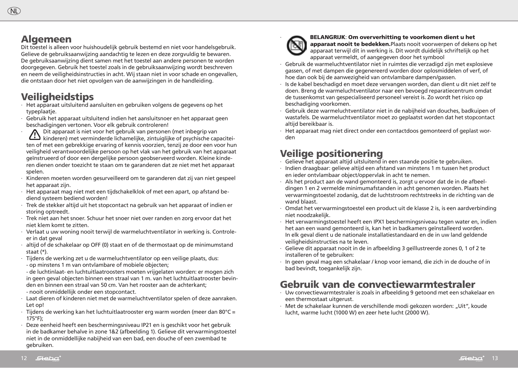#### Algemeen

(NL)

Dit toestel is alleen voor huishoudelijk gebruik bestemd en niet voor handelsgebruik. Gelieve de gebruiksaanwijzing aandachtig te lezen en deze zorgvuldig te bewaren. De gebruiksaanwijzing dient samen met het toestel aan andere personen te worden doorgegeven. Gebruik het toestel zoals in de gebruiksaanwijzing wordt beschreven en neem de veiligheidsinstructies in acht. Wij staan niet in voor schade en ongevallen, die ontstaan door het niet opvolgen van de aanwijzingen in de handleiding.

#### Veiligheidstips

- ∙ Het apparaat uitsluitend aansluiten en gebruiken volgens de gegevens op het typeplaatie.
- ∙ Gebruik het apparaat uitsluitend indien het aansluitsnoer en het apparaat geen beschadigingen vertonen. Voor elk gebruik controleren!<br> **A** Dit apparaat is niet voor het gebruik van personen (met inbegrip van
- ∙ ∧ Dit apparaat is niet voor het gebruik van personen (met inbegrip van kinderen) met verminderde lichamelijke, zintuiglijke of psychische capaciteiten of met een gebrekkige ervaring of kennis voorzien, tenzij ze door een voor hun veiligheid verantwoordelijke persoon op het vlak van het gebruik van het apparaat geïnstrueerd of door een dergelijke persoon geobserveerd worden. Kleine kinderen dienen onder toezicht te staan om te garanderen dat ze niet met het apparaat spelen.
- ∙ Kinderen moeten worden gesurveilleerd om te garanderen dat zij van niet gespeel het apparaat zijn.
- ∙ Het apparaat mag niet met een tijdschakelklok of met een apart, op afstand bediend systeem bediend worden!
- ∙ Trek de stekker altijd uit het stopcontact na gebruik van het apparaat of indien er storing optreedt.
- ∙ Trek niet aan het snoer. Schuur het snoer niet over randen en zorg ervoor dat het niet klem komt te zitten.
- ∙ Verlaat u uw woning nooit terwijl de warmeluchtventilator in werking is. Controleer in dat geval
- ∙ altijd of de schakelaar op OFF (0) staat en of de thermostaat op de minimumstand staat (\*).
- ∙ Tijdens de werking zet u de warmeluchtventilator op een veilige plaats, dus:
- op minstens 1 m van ontvlambare of mobiele objecten;

- de luchtinlaat- en luchtuitlaatroosters moeten vrijgelaten worden: er mogen zich in geen geval objecten binnen een straal van 1 m. van het luchtuitlaatrooster bevinden en binnen een straal van 50 cm. Van het rooster aan de achterkant;

- nooit onmiddellijk onder een stopcontact.
- ∙ Laat dieren of kinderen niet met de warmeluchtventilator spelen of deze aanraken. Let op!
- ∙ Tijdens de werking kan het luchtuitlaatrooster erg warm worden (meer dan 80°C = 175°F);
- ∙ Deze eenheid heeft een beschermingsniveau IP21 en is geschikt voor het gebruik in de badkamer behalve in zone 1&2 (afbeelding 1). Gelieve dit verwarmingstoestel niet in de onmiddellijke nabijheid van een bad, een douche of een zwembad te gebruiken.



∙ BELANGRIJK: Om oververhitting te voorkomen dient u het

apparaat nooit te bedekken.Plaats nooit voorwerpen of dekens op het apparaat terwijl dit in werking is. Dit wordt duidelijk schriftelijk op het apparaat vermeldt, of aangegeven door het symbool

- ∙ Gebruik de warmeluchtventilator niet in ruimtes die verzadigd zijn met explosieve gassen, of met dampen die gegenereerd worden door oplosmiddelen of verf, of hoe dan ook bij de aanwezigheid van ontvlambare dampen/gassen.
- ∙ Is de kabel beschadigd en moet deze vervangen worden, dan dient u dit niet zelf te doen. Breng de warmeluchtventilator naar een bevoegd reparatiecentrum omdat de tussenkomst van gespecialiseerd personeel vereist is. Zo wordt het risico op beschadiging voorkomen.
- ∙ Gebruik deze warmeluchtventilator niet in de nabijheid van douches, badkuipen of wastafels. De warmeluchtventilator moet zo geplaatst worden dat het stopcontact altijd bereikbaar is.
- ∙ Het apparaat mag niet direct onder een contactdoos gemonteerd of geplast worden

# Veilige positionering

- ∙ Gelieve het apparaat altijd uitsluitend in een staande positie te gebruiken.
- ∙ Indien draagbaar: gelieve altijd een afstand van minstens 1 m tussen het product en ieder ontvlambaar object/oppervlak in acht te nemen.
- ∙ Als het product aan de wand gemonteerd is, zorgt u ervoor dat de in de afbeeldingen 1 en 2 vermelde minimumafstanden in acht genomen worden. Plaats het verwarmingstoestel zodanig, dat de luchtstroom rechtstreeks in de richting van de wand blaast.
- ∙ Omdat het verwarmingstoestel een product uit de klasse 2 is, is een aardverbinding niet noodzakelijk.
- ∙ Het verwarmingstoestel heeft een IPX1 beschermingsniveau tegen water en, indien het aan een wand gemonteerd is, kan het in badkamers geïnstalleerd worden. In elk geval dient u de nationale installatiestandaard en de in uw land geldende veiligheidsinstructies na te leven.
- ∙ Gelieve dit apparaat nooit in de in afbeelding 3 geïllustreerde zones 0, 1 of 2 te installeren of te gebruiken:
- ∙ In geen geval mag een schakelaar / knop voor iemand, die zich in de douche of in bad bevindt, toegankelijk zijn.

## Gebruik van de convectiewarmtestraler

- ∙ Uw convectiewarmtestraler is zoals in afbeelding 9 getoond met een schakelaar en een thermostaat uitgerust.
- ∙ Met de schakelaar kunnen de verschillende modi gekozen worden: "Uit", koude lucht, warme lucht (1000 W) en zeer hete lucht (2000 W).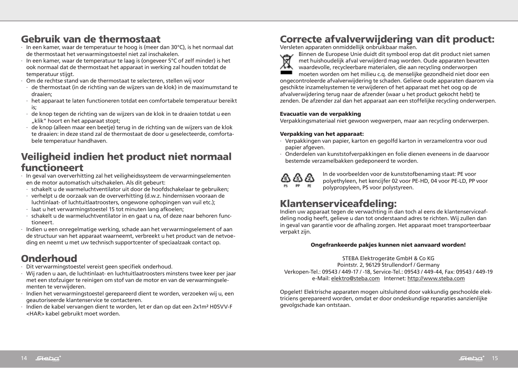## Gebruik van de thermostaat

- ∙ In een kamer, waar de temperatuur te hoog is (meer dan 30°C), is het normaal dat de thermostaat het verwarmingstoestel niet zal inschakelen.
- ∙ In een kamer, waar de temperatuur te laag is (ongeveer 5°C of zelf minder) is het ook normaal dat de thermostaat het apparaat in werking zal houden totdat de temperatuur stijgt.
- ∙ Om de rechtse stand van de thermostaat te selecteren, stellen wij voor
	- ∙ de thermostaat (in de richting van de wijzers van de klok) in de maximumstand te draaien;
- ∙ het apparaat te laten functioneren totdat een comfortabele temperatuur bereikt is;
- ∙ de knop tegen de richting van de wijzers van de klok in te draaien totdat u een "klik" hoort en het apparaat stopt:
- ∙ de knop (alleen maar een beetje) terug in de richting van de wijzers van de klok te draaien: in deze stand zal de thermostaat de door u geselecteerde, comfortabele temperatuur handhaven.

## Veiligheid indien het product niet normaal functioneert

- ∙ In geval van oververhitting zal het veiligheidssysteem de verwarmingselementen en de motor automatisch uitschakelen. Als dit gebeurt:
	- ∙ schakelt u de warmeluchtventilator uit door de hoofdschakelaar te gebruiken;
- ∙ verhelpt u de oorzaak van de oververhitting (d.w.z. hindernissen vooraan de luchtinlaat- of luchtuitlaatroosters, ongewone ophopingen van vuil etc.);
- ∙ laat u het verwarmingstoestel 15 tot minuten lang afkoelen;
- ∙ schakelt u de warmeluchtventilator in en gaat u na, of deze naar behoren functioneert.
- ∙ Indien u een onregelmatige werking, schade aan het verwarmingselement of aan de structuur van het apparaat waarneemt, verbreekt u het product van de netvoeding en neemt u met uw technisch supportcenter of speciaalzaak contact op.

# **Onderhoud**

- ∙ Dit verwarmingstoestel vereist geen specifiek onderhoud.
- ∙ Wij raden u aan, de luchtinlaat- en luchtuitlaatroosters minstens twee keer per jaar met een stofzuiger te reinigen om stof van de motor en van de verwarmingselementen te verwijderen.
- ∙ Indien het verwarmingstoestel gerepareerd dient te worden, verzoeken wij u, een geautoriseerde klantenservice te contacteren.
- ∙ Indien de kabel vervangen dient te worden, let er dan op dat een 2x1m² H05VV-F <HAR> kabel gebruikt moet worden.

# Correcte afvalverwijdering van dit product:

Versleten apparaten onmiddellijk onbruikbaar maken.



Binnen de Europese Unie duidt dit symbool erop dat dit product niet samen met huishoudelijk afval verwijderd mag worden. Oude apparaten bevatten waardevolle, recycleerbare materialen, die aan recycling onderworpen moeten worden om het milieu c.q. de menselijke gezondheid niet door een ongecontroleerde afvalverwijdering te schaden. Gelieve oude apparaten daarom via geschikte inzamelsystemen te verwijderen of het apparaat met het oog op de afvalverwijdering terug naar de afzender (waar u het product gekocht hebt) te

zenden. De afzender zal dan het apparaat aan een stoffelijke recycling onderwerpen.

#### Evacuatie van de verpakking

Verpakkingsmateriaal niet gewoon wegwerpen, maar aan recycling onderwerpen.

#### Verpakking van het apparaat:

- ∙ Verpakkingen van papier, karton en gegolfd karton in verzamelcentra voor oud papier afgeven.
- ∙ Onderdelen van kunststofverpakkingen en folie dienen eveneens in de daarvoor bestemde verzamelbakken gedeponeerd te worden.



In de voorbeelden voor de kunststofbenaming staat: PE voor polyethyleen, het kencijfer 02 voor PE-HD, 04 voor PE-LD, PP voor polypropyleen, PS voor polystyreen.

# Klantenserviceafdeling:

Indien uw apparaat tegen de verwachting in dan toch al eens de klantenserviceafdeling nodig heeft, gelieve u dan tot onderstaand adres te richten. Wij zullen dan in geval van garantie voor de afhaling zorgen. Het apparaat moet transporteerbaar verpakt zijn.

#### Ongefrankeerde pakjes kunnen niet aanvaard worden!

STEBA Elektrogeräte GmbH & Co KG Pointstr. 2, 96129 Strullendorf / Germany Verkopen-Tel.: 09543 / 449-17 / -18, Service-Tel.: 09543 / 449-44, Fax: 09543 / 449-19 e-Mail: elektro@steba.com Internet: http://www.steba.com

Opgelet! Elektrische apparaten mogen uitsluitend door vakkundig geschoolde elektriciens gerepareerd worden, omdat er door ondeskundige reparaties aanzienlijke gevolgschade kan ontstaan.